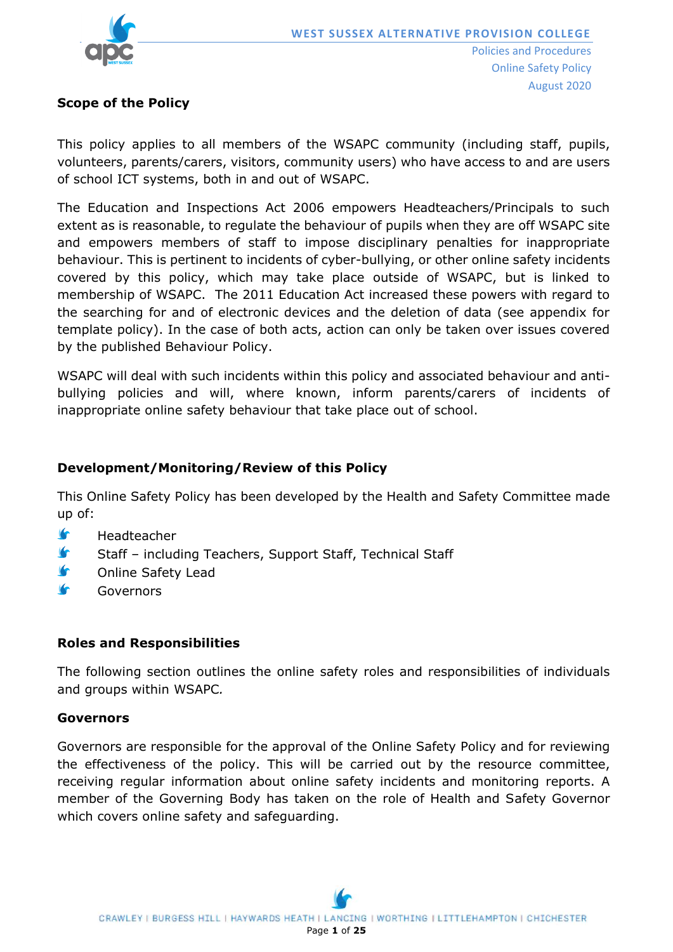

## **Scope of the Policy**

This policy applies to all members of the WSAPC community (including staff, pupils, volunteers, parents/carers, visitors, community users) who have access to and are users of school ICT systems, both in and out of WSAPC.

The Education and Inspections Act 2006 empowers Headteachers/Principals to such extent as is reasonable, to regulate the behaviour of pupils when they are off WSAPC site and empowers members of staff to impose disciplinary penalties for inappropriate behaviour. This is pertinent to incidents of cyber-bullying, or other online safety incidents covered by this policy, which may take place outside of WSAPC, but is linked to membership of WSAPC. The 2011 Education Act increased these powers with regard to the searching for and of electronic devices and the deletion of data (see appendix for template policy). In the case of both acts, action can only be taken over issues covered by the published Behaviour Policy.

WSAPC will deal with such incidents within this policy and associated behaviour and antibullying policies and will, where known, inform parents/carers of incidents of inappropriate online safety behaviour that take place out of school.

## **Development/Monitoring/Review of this Policy**

This Online Safety Policy has been developed by the Health and Safety Committee made up of:

- $\mathbf{r}$ Headteacher
- $\bullet$ Staff – including Teachers, Support Staff, Technical Staff
- $\bullet$ Online Safety Lead
- 6 Governors

## **Roles and Responsibilities**

The following section outlines the online safety roles and responsibilities of individuals and groups within WSAPC*.*

## **Governors**

Governors are responsible for the approval of the Online Safety Policy and for reviewing the effectiveness of the policy. This will be carried out by the resource committee, receiving regular information about online safety incidents and monitoring reports. A member of the Governing Body has taken on the role of Health and Safety Governor which covers online safety and safeguarding.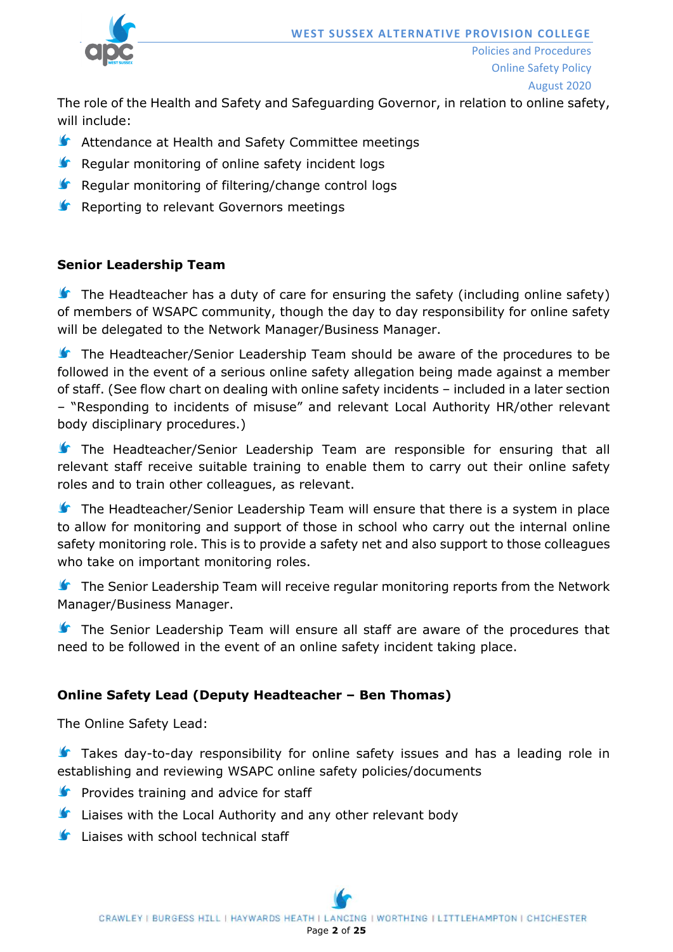

The role of the Health and Safety and Safeguarding Governor, in relation to online safety, will include:

- **K** Attendance at Health and Safety Committee meetings
- $\mathbf{r}$ Regular monitoring of online safety incident logs
- **K** Regular monitoring of filtering/change control logs
- **K** Reporting to relevant Governors meetings

## **Senior Leadership Team**

The Headteacher has a duty of care for ensuring the safety (including online safety) of members of WSAPC community, though the day to day responsibility for online safety will be delegated to the Network Manager/Business Manager.

The Headteacher/Senior Leadership Team should be aware of the procedures to be followed in the event of a serious online safety allegation being made against a member of staff. (See flow chart on dealing with online safety incidents – included in a later section – "Responding to incidents of misuse" and relevant Local Authority HR/other relevant body disciplinary procedures.)

**The Headteacher/Senior Leadership Team are responsible for ensuring that all** relevant staff receive suitable training to enable them to carry out their online safety roles and to train other colleagues, as relevant.

**The Headteacher/Senior Leadership Team will ensure that there is a system in place** to allow for monitoring and support of those in school who carry out the internal online safety monitoring role. This is to provide a safety net and also support to those colleagues who take on important monitoring roles.

**The Senior Leadership Team will receive regular monitoring reports from the Network** Manager/Business Manager.

**The Senior Leadership Team will ensure all staff are aware of the procedures that** need to be followed in the event of an online safety incident taking place.

## **Online Safety Lead (Deputy Headteacher – Ben Thomas)**

The Online Safety Lead:

**Takes day-to-day responsibility for online safety issues and has a leading role in** establishing and reviewing WSAPC online safety policies/documents

- **Provides training and advice for staff**
- **K** Liaises with the Local Authority and any other relevant body
- $\Gamma$  Liaises with school technical staff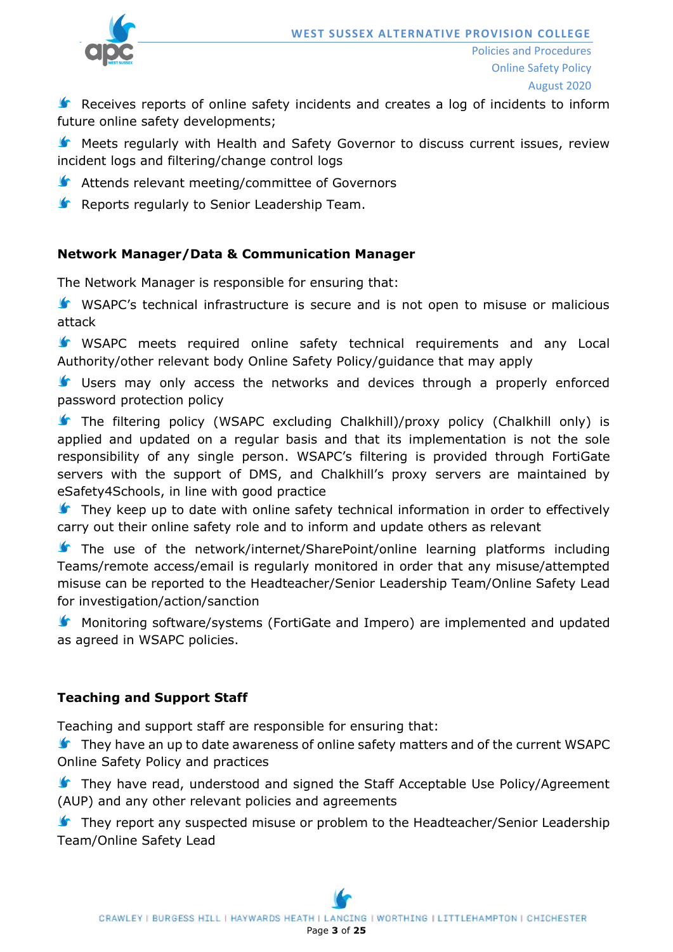

Receives reports of online safety incidents and creates a log of incidents to inform future online safety developments;

**Meets regularly with Health and Safety Governor to discuss current issues, review** incident logs and filtering/change control logs

- Attends relevant meeting/committee of Governors
- **K** Reports regularly to Senior Leadership Team.

## **Network Manager/Data & Communication Manager**

The Network Manager is responsible for ensuring that:

WISAPC's technical infrastructure is secure and is not open to misuse or malicious attack

WSAPC meets required online safety technical requirements and any Local Authority/other relevant body Online Safety Policy/guidance that may apply

Users may only access the networks and devices through a properly enforced password protection policy

**The filtering policy (WSAPC excluding Chalkhill)/proxy policy (Chalkhill only) is** applied and updated on a regular basis and that its implementation is not the sole responsibility of any single person. WSAPC's filtering is provided through FortiGate servers with the support of DMS, and Chalkhill's proxy servers are maintained by eSafety4Schools, in line with good practice

**They keep up to date with online safety technical information in order to effectively** carry out their online safety role and to inform and update others as relevant

The use of the network/internet/SharePoint/online learning platforms including Teams/remote access/email is regularly monitored in order that any misuse/attempted misuse can be reported to the Headteacher/Senior Leadership Team/Online Safety Lead for investigation/action/sanction

**Monitoring software/systems (FortiGate and Impero) are implemented and updated** as agreed in WSAPC policies.

## **Teaching and Support Staff**

Teaching and support staff are responsible for ensuring that:

**They have an up to date awareness of online safety matters and of the current WSAPC** Online Safety Policy and practices

**They have read, understood and signed the Staff Acceptable Use Policy/Agreement** (AUP) and any other relevant policies and agreements

**They report any suspected misuse or problem to the Headteacher/Senior Leadership** Team/Online Safety Lead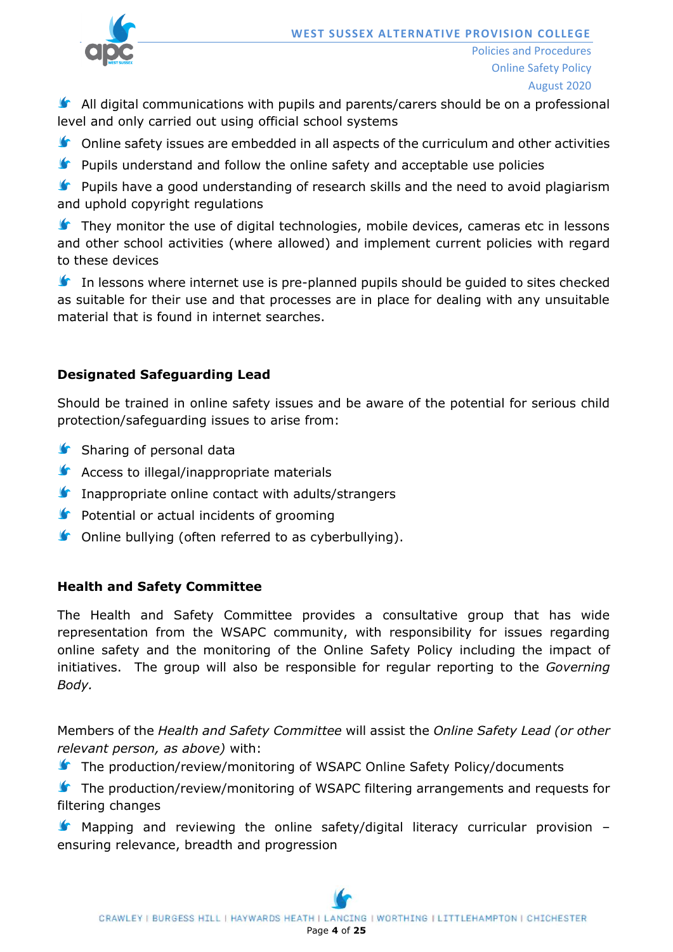

**All digital communications with pupils and parents/carers should be on a professional** level and only carried out using official school systems

 $\bullet$  Online safety issues are embedded in all aspects of the curriculum and other activities

**Pupils understand and follow the online safety and acceptable use policies** 

**Pupils have a good understanding of research skills and the need to avoid plagiarism** and uphold copyright regulations

They monitor the use of digital technologies, mobile devices, cameras etc in lessons and other school activities (where allowed) and implement current policies with regard to these devices

In lessons where internet use is pre-planned pupils should be guided to sites checked as suitable for their use and that processes are in place for dealing with any unsuitable material that is found in internet searches.

## **Designated Safeguarding Lead**

Should be trained in online safety issues and be aware of the potential for serious child protection/safeguarding issues to arise from:

- **Sharing of personal data**
- **Access to illegal/inappropriate materials**
- $\blacksquare$  Inappropriate online contact with adults/strangers
- **Potential or actual incidents of grooming**
- **The Online bullying (often referred to as cyberbullying).**

## **Health and Safety Committee**

The Health and Safety Committee provides a consultative group that has wide representation from the WSAPC community, with responsibility for issues regarding online safety and the monitoring of the Online Safety Policy including the impact of initiatives. The group will also be responsible for regular reporting to the *Governing Body.*

Members of the *Health and Safety Committee* will assist the *Online Safety Lead (or other relevant person, as above)* with:

**The production/review/monitoring of WSAPC Online Safety Policy/documents** 

The production/review/monitoring of WSAPC filtering arrangements and requests for filtering changes

**Mapping and reviewing the online safety/digital literacy curricular provision –** ensuring relevance, breadth and progression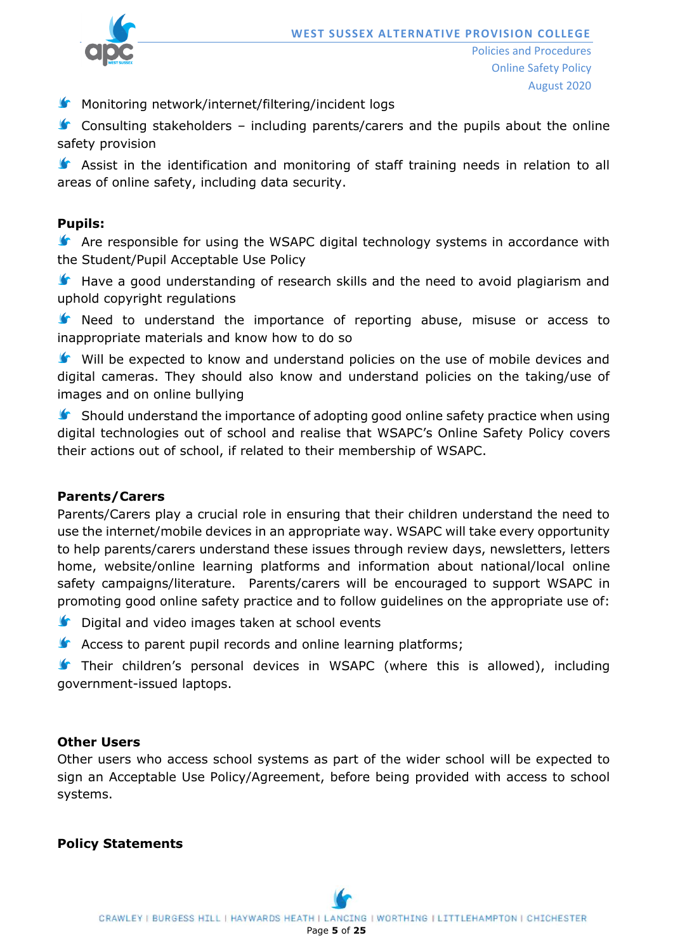

**Monitoring network/internet/filtering/incident logs** 

Consulting stakeholders – including parents/carers and the pupils about the online safety provision

**K** Assist in the identification and monitoring of staff training needs in relation to all areas of online safety, including data security.

#### **Pupils:**

**Are responsible for using the WSAPC digital technology systems in accordance with** the Student/Pupil Acceptable Use Policy

- **Have a good understanding of research skills and the need to avoid plagiarism and** uphold copyright regulations
- K Need to understand the importance of reporting abuse, misuse or access to inappropriate materials and know how to do so

Will be expected to know and understand policies on the use of mobile devices and digital cameras. They should also know and understand policies on the taking/use of images and on online bullying

Should understand the importance of adopting good online safety practice when using digital technologies out of school and realise that WSAPC's Online Safety Policy covers their actions out of school, if related to their membership of WSAPC.

## **Parents/Carers**

Parents/Carers play a crucial role in ensuring that their children understand the need to use the internet/mobile devices in an appropriate way. WSAPC will take every opportunity to help parents/carers understand these issues through review days, newsletters, letters home, website/online learning platforms and information about national/local online safety campaigns/literature. Parents/carers will be encouraged to support WSAPC in promoting good online safety practice and to follow guidelines on the appropriate use of:

- **S** Digital and video images taken at school events
- **ACCESS** to parent pupil records and online learning platforms;
- Their children's personal devices in WSAPC (where this is allowed), including government-issued laptops.

#### **Other Users**

Other users who access school systems as part of the wider school will be expected to sign an Acceptable Use Policy/Agreement, before being provided with access to school systems.

## **Policy Statements**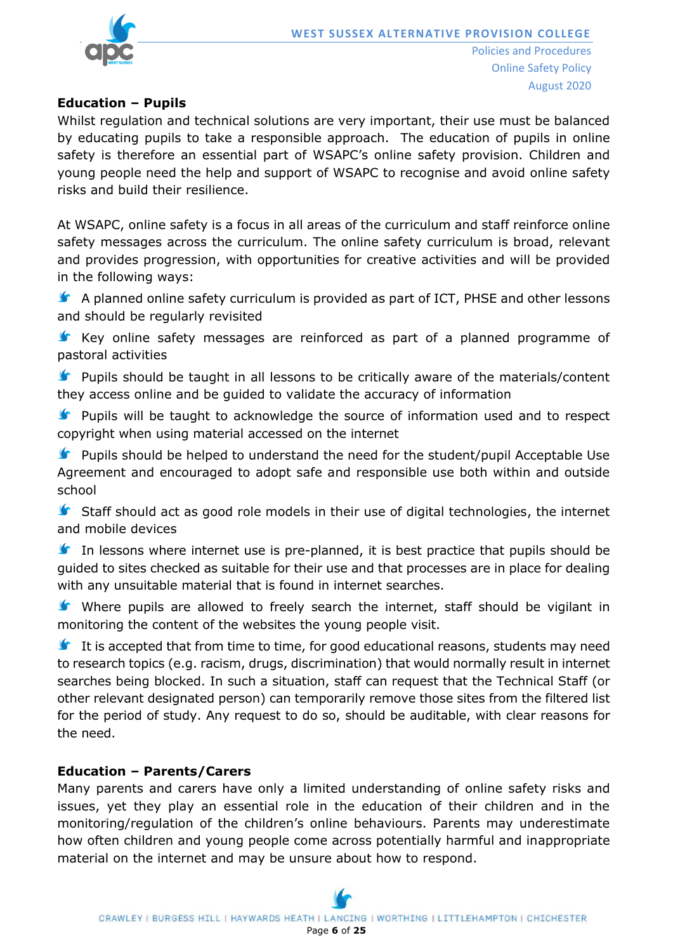

## **Education – Pupils**

Whilst regulation and technical solutions are very important, their use must be balanced by educating pupils to take a responsible approach. The education of pupils in online safety is therefore an essential part of WSAPC's online safety provision. Children and young people need the help and support of WSAPC to recognise and avoid online safety risks and build their resilience.

At WSAPC, online safety is a focus in all areas of the curriculum and staff reinforce online safety messages across the curriculum. The online safety curriculum is broad, relevant and provides progression, with opportunities for creative activities and will be provided in the following ways:

A planned online safety curriculum is provided as part of ICT, PHSE and other lessons and should be regularly revisited

Key online safety messages are reinforced as part of a planned programme of pastoral activities

**Pupils should be taught in all lessons to be critically aware of the materials/content** they access online and be guided to validate the accuracy of information

**Pupils will be taught to acknowledge the source of information used and to respect** copyright when using material accessed on the internet

**Pupils should be helped to understand the need for the student/pupil Acceptable Use** Agreement and encouraged to adopt safe and responsible use both within and outside school

Staff should act as good role models in their use of digital technologies, the internet and mobile devices

In lessons where internet use is pre-planned, it is best practice that pupils should be guided to sites checked as suitable for their use and that processes are in place for dealing with any unsuitable material that is found in internet searches.

Where pupils are allowed to freely search the internet, staff should be vigilant in monitoring the content of the websites the young people visit.

 $\blacklozenge$  It is accepted that from time to time, for good educational reasons, students may need to research topics (e.g. racism, drugs, discrimination) that would normally result in internet searches being blocked. In such a situation, staff can request that the Technical Staff (or other relevant designated person) can temporarily remove those sites from the filtered list for the period of study. Any request to do so, should be auditable, with clear reasons for the need.

## **Education – Parents/Carers**

Many parents and carers have only a limited understanding of online safety risks and issues, yet they play an essential role in the education of their children and in the monitoring/regulation of the children's online behaviours. Parents may underestimate how often children and young people come across potentially harmful and inappropriate material on the internet and may be unsure about how to respond.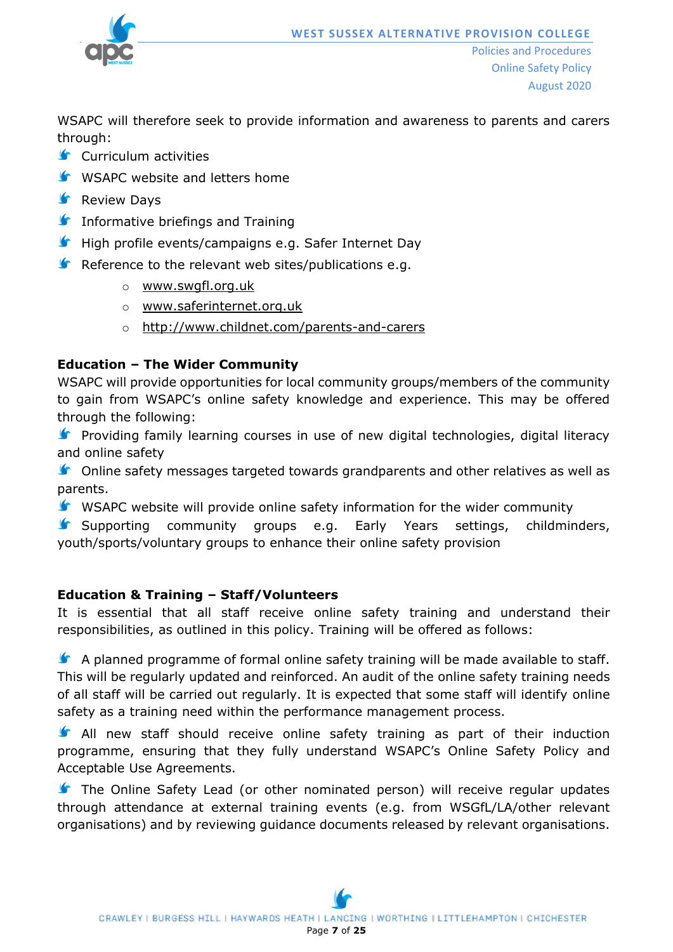

WSAPC will therefore seek to provide information and awareness to parents and carers through:

- **Curriculum activities**
- WIGHT WAS WEDNEY WAS APC website and letters home
- **S** Review Days
- **Informative briefings and Training**
- **High profile events/campaigns e.g. Safer Internet Day**
- $\blacklozenge$  Reference to the relevant web sites/publications e.g.
	- o [www.swgfl.org.uk](http://www.swgfl.org.uk/)
	- o [www.saferinternet.org.uk](http://www.saferinternet.org.uk/)
	- o <http://www.childnet.com/parents-and-carers>

## **Education – The Wider Community**

WSAPC will provide opportunities for local community groups/members of the community to gain from WSAPC's online safety knowledge and experience. This may be offered through the following:

**Providing family learning courses in use of new digital technologies, digital literacy** and online safety

**The Online safety messages targeted towards grandparents and other relatives as well as** parents.

WSAPC website will provide online safety information for the wider community

Supporting community groups e.g. Early Years settings, childminders, youth/sports/voluntary groups to enhance their online safety provision

## **Education & Training – Staff/Volunteers**

It is essential that all staff receive online safety training and understand their responsibilities, as outlined in this policy. Training will be offered as follows:

A planned programme of formal online safety training will be made available to staff. This will be regularly updated and reinforced. An audit of the online safety training needs of all staff will be carried out regularly. It is expected that some staff will identify online safety as a training need within the performance management process.

All new staff should receive online safety training as part of their induction programme, ensuring that they fully understand WSAPC's Online Safety Policy and Acceptable Use Agreements.

**The Online Safety Lead (or other nominated person) will receive regular updates** through attendance at external training events (e.g. from WSGfL/LA/other relevant organisations) and by reviewing guidance documents released by relevant organisations.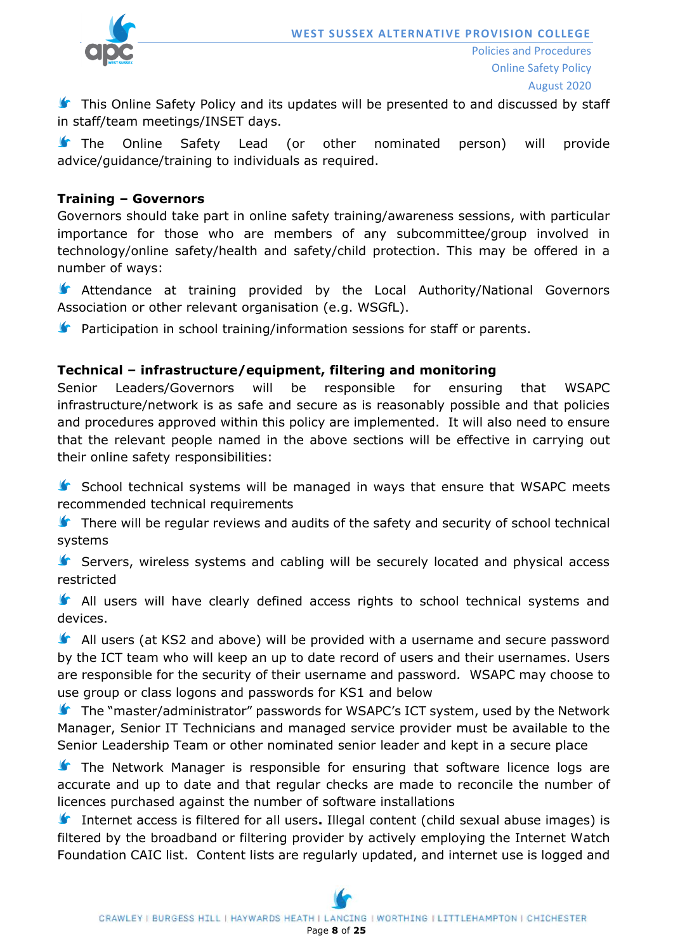

**This Online Safety Policy and its updates will be presented to and discussed by staff** in staff/team meetings/INSET days.

The Online Safety Lead (or other nominated person) will provide advice/guidance/training to individuals as required.

## **Training – Governors**

Governors should take part in online safety training/awareness sessions, with particular importance for those who are members of any subcommittee/group involved in technology/online safety/health and safety/child protection. This may be offered in a number of ways:

Attendance at training provided by the Local Authority/National Governors Association or other relevant organisation (e.g. WSGfL).

**Participation in school training/information sessions for staff or parents.** 

## **Technical – infrastructure/equipment, filtering and monitoring**

Senior Leaders/Governors will be responsible for ensuring that WSAPC infrastructure/network is as safe and secure as is reasonably possible and that policies and procedures approved within this policy are implemented. It will also need to ensure that the relevant people named in the above sections will be effective in carrying out their online safety responsibilities:

School technical systems will be managed in ways that ensure that WSAPC meets recommended technical requirements

There will be regular reviews and audits of the safety and security of school technical systems

Servers, wireless systems and cabling will be securely located and physical access restricted

**All users will have clearly defined access rights to school technical systems and** devices.

All users (at KS2 and above) will be provided with a username and secure password by the ICT team who will keep an up to date record of users and their usernames. Users are responsible for the security of their username and password*.* WSAPC may choose to use group or class logons and passwords for KS1 and below

**The "master/administrator" passwords for WSAPC's ICT system, used by the Network** Manager, Senior IT Technicians and managed service provider must be available to the Senior Leadership Team or other nominated senior leader and kept in a secure place

**The Network Manager is responsible for ensuring that software licence logs are** accurate and up to date and that regular checks are made to reconcile the number of licences purchased against the number of software installations

Internet access is filtered for all users**.** Illegal content (child sexual abuse images) is filtered by the broadband or filtering provider by actively employing the Internet Watch Foundation CAIC list. Content lists are regularly updated, and internet use is logged and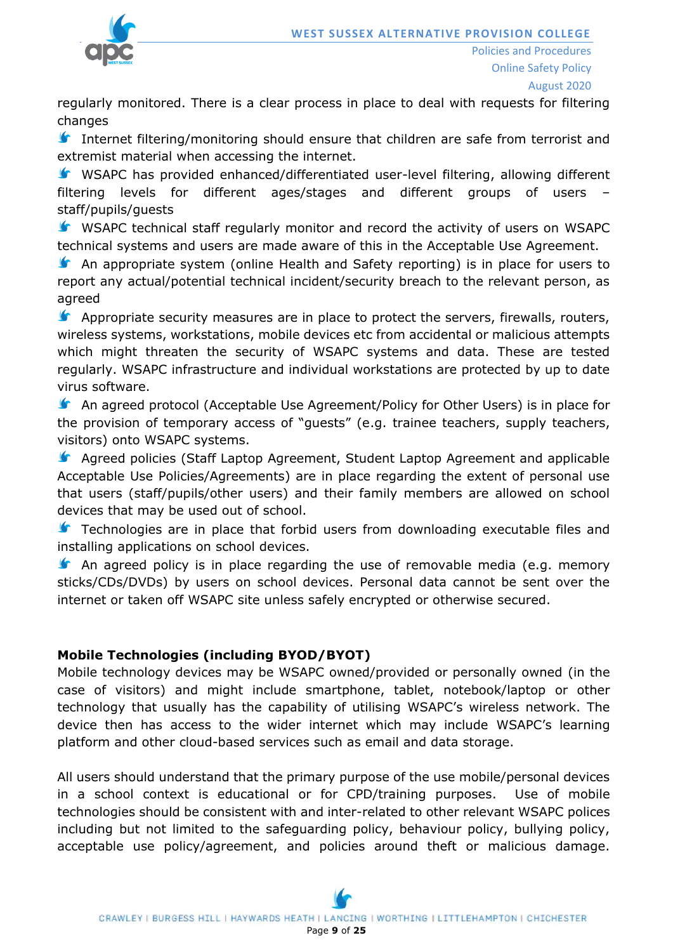

regularly monitored. There is a clear process in place to deal with requests for filtering changes

**Internet filtering/monitoring should ensure that children are safe from terrorist and** extremist material when accessing the internet.

WSAPC has provided enhanced/differentiated user-level filtering, allowing different filtering levels for different ages/stages and different groups of users – staff/pupils/guests

WISAPC technical staff regularly monitor and record the activity of users on WSAPC technical systems and users are made aware of this in the Acceptable Use Agreement.

An appropriate system (online Health and Safety reporting) is in place for users to report any actual/potential technical incident/security breach to the relevant person, as agreed

**Appropriate security measures are in place to protect the servers, firewalls, routers,** wireless systems, workstations, mobile devices etc from accidental or malicious attempts which might threaten the security of WSAPC systems and data. These are tested regularly. WSAPC infrastructure and individual workstations are protected by up to date virus software.

An agreed protocol (Acceptable Use Agreement/Policy for Other Users) is in place for the provision of temporary access of "guests" (e.g. trainee teachers, supply teachers, visitors) onto WSAPC systems.

**Agreed policies (Staff Laptop Agreement, Student Laptop Agreement and applicable** Acceptable Use Policies/Agreements) are in place regarding the extent of personal use that users (staff/pupils/other users) and their family members are allowed on school devices that may be used out of school.

**The Technologies are in place that forbid users from downloading executable files and** installing applications on school devices.

An agreed policy is in place regarding the use of removable media (e.g. memory sticks/CDs/DVDs) by users on school devices. Personal data cannot be sent over the internet or taken off WSAPC site unless safely encrypted or otherwise secured.

## **Mobile Technologies (including BYOD/BYOT)**

Mobile technology devices may be WSAPC owned/provided or personally owned (in the case of visitors) and might include smartphone, tablet, notebook/laptop or other technology that usually has the capability of utilising WSAPC's wireless network. The device then has access to the wider internet which may include WSAPC's learning platform and other cloud-based services such as email and data storage.

All users should understand that the primary purpose of the use mobile/personal devices in a school context is educational or for CPD/training purposes. Use of mobile technologies should be consistent with and inter-related to other relevant WSAPC polices including but not limited to the safeguarding policy, behaviour policy, bullying policy, acceptable use policy/agreement, and policies around theft or malicious damage.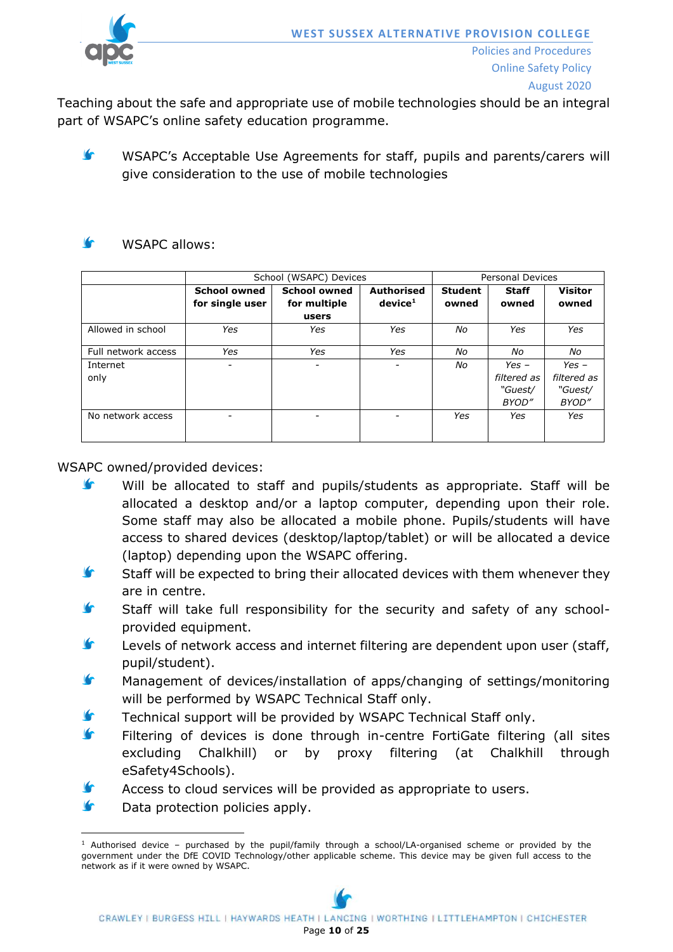

Teaching about the safe and appropriate use of mobile technologies should be an integral part of WSAPC's online safety education programme.

 $\bullet$ WSAPC's Acceptable Use Agreements for staff, pupils and parents/carers will give consideration to the use of mobile technologies

## WSAPC allows:

|                     | School (WSAPC) Devices | <b>Personal Devices</b> |                     |       |              |                |
|---------------------|------------------------|-------------------------|---------------------|-------|--------------|----------------|
|                     | <b>School owned</b>    | <b>School owned</b>     | <b>Authorised</b>   |       | <b>Staff</b> | <b>Visitor</b> |
|                     | for single user        | for multiple            | device <sup>1</sup> | owned | owned        | owned          |
|                     |                        | users                   |                     |       |              |                |
| Allowed in school   | Yes                    | Yes                     | Yes                 | No    | Yes          | Yes            |
| Full network access | Yes                    | Yes                     | Yes                 | No    | No           | No             |
| Internet            |                        |                         |                     | No    | $Yes -$      | $Yes -$        |
| only                |                        |                         |                     |       | filtered as  | filtered as    |
|                     |                        |                         |                     |       | "Guest/      | "Guest/        |
|                     |                        |                         |                     |       | BYOD"        | BYOD"          |
| No network access   |                        |                         |                     | Yes   | Yes          | Yes            |

## WSAPC owned/provided devices:

- $\blacktriangleright$ Will be allocated to staff and pupils/students as appropriate. Staff will be allocated a desktop and/or a laptop computer, depending upon their role. Some staff may also be allocated a mobile phone. Pupils/students will have access to shared devices (desktop/laptop/tablet) or will be allocated a device (laptop) depending upon the WSAPC offering.
- Staff will be expected to bring their allocated devices with them whenever they are in centre.
- Staff will take full responsibility for the security and safety of any schoolprovided equipment.
- Levels of network access and internet filtering are dependent upon user (staff, pupil/student).
- Management of devices/installation of apps/changing of settings/monitoring will be performed by WSAPC Technical Staff only.
- Technical support will be provided by WSAPC Technical Staff only.
- Filtering of devices is done through in-centre FortiGate filtering (all sites excluding Chalkhill) or by proxy filtering (at Chalkhill through eSafety4Schools).
- Access to cloud services will be provided as appropriate to users.
- Data protection policies apply.

 $1$  Authorised device – purchased by the pupil/family through a school/LA-organised scheme or provided by the government under the DfE COVID Technology/other applicable scheme. This device may be given full access to the network as if it were owned by WSAPC.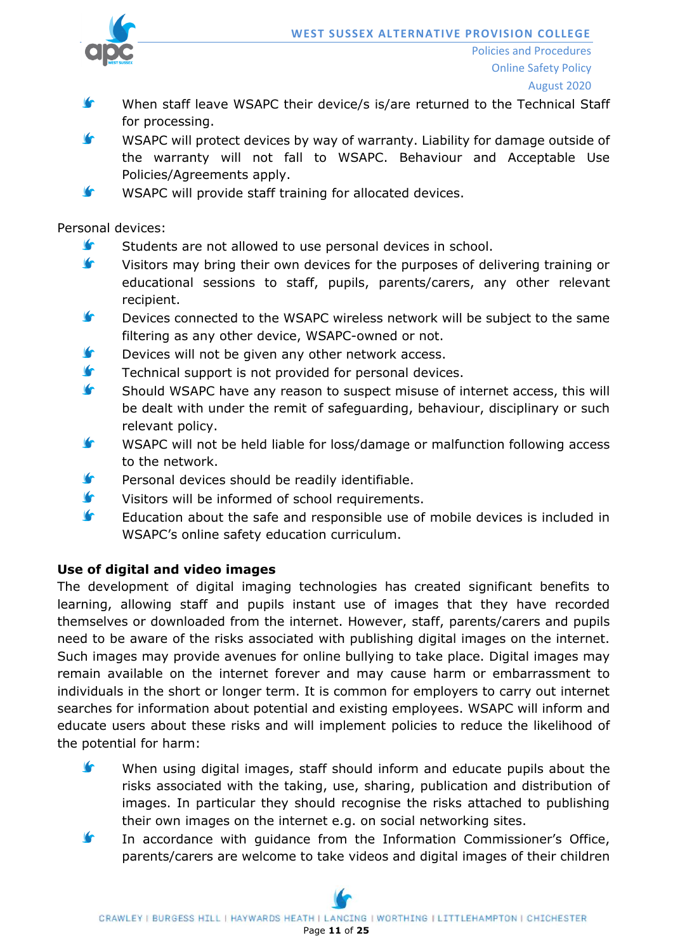

- When staff leave WSAPC their device/s is/are returned to the Technical Staff for processing.
- WSAPC will protect devices by way of warranty. Liability for damage outside of the warranty will not fall to WSAPC. Behaviour and Acceptable Use Policies/Agreements apply.
- WSAPC will provide staff training for allocated devices.

Personal devices:

- $\bullet$ Students are not allowed to use personal devices in school.
- $\bullet$ Visitors may bring their own devices for the purposes of delivering training or educational sessions to staff, pupils, parents/carers, any other relevant recipient.
- $\bullet$ Devices connected to the WSAPC wireless network will be subject to the same filtering as any other device, WSAPC-owned or not.
- $\bullet$ Devices will not be given any other network access.
- $\bullet$ Technical support is not provided for personal devices.
- $\bullet$ Should WSAPC have any reason to suspect misuse of internet access, this will be dealt with under the remit of safeguarding, behaviour, disciplinary or such relevant policy.
- WSAPC will not be held liable for loss/damage or malfunction following access to the network.
- $\bullet$ Personal devices should be readily identifiable.
- Visitors will be informed of school requirements.
- Education about the safe and responsible use of mobile devices is included in WSAPC's online safety education curriculum.

## **Use of digital and video images**

The development of digital imaging technologies has created significant benefits to learning, allowing staff and pupils instant use of images that they have recorded themselves or downloaded from the internet. However, staff, parents/carers and pupils need to be aware of the risks associated with publishing digital images on the internet. Such images may provide avenues for online bullying to take place. Digital images may remain available on the internet forever and may cause harm or embarrassment to individuals in the short or longer term. It is common for employers to carry out internet searches for information about potential and existing employees. WSAPC will inform and educate users about these risks and will implement policies to reduce the likelihood of the potential for harm:

- $\epsilon$ When using digital images, staff should inform and educate pupils about the risks associated with the taking, use, sharing, publication and distribution of images. In particular they should recognise the risks attached to publishing their own images on the internet e.g. on social networking sites.
- In accordance with guidance from the Information Commissioner's Office, parents/carers are welcome to take videos and digital images of their children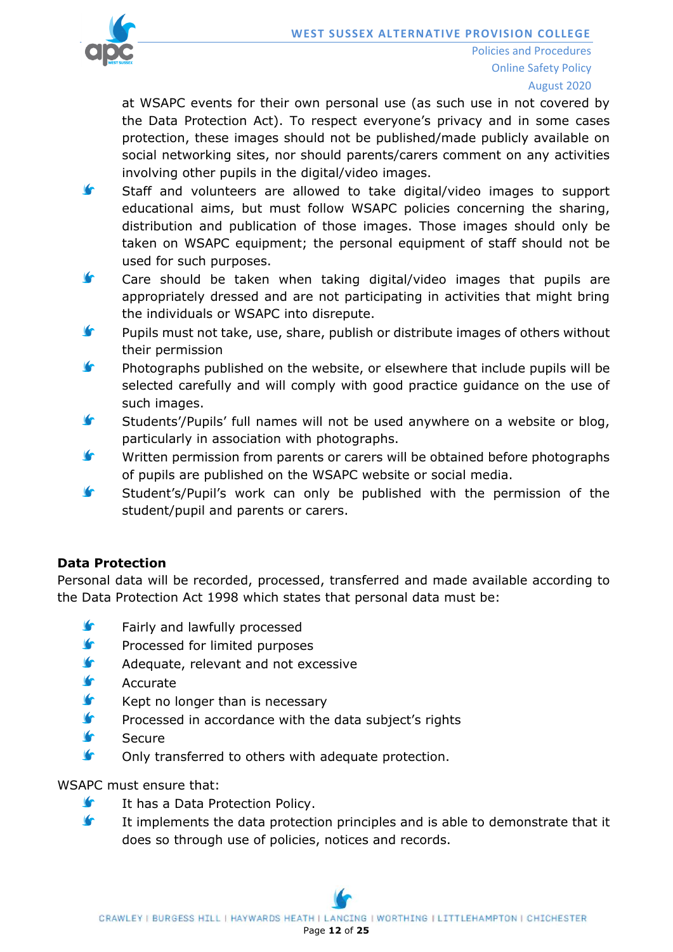

at WSAPC events for their own personal use (as such use in not covered by the Data Protection Act). To respect everyone's privacy and in some cases protection, these images should not be published/made publicly available on social networking sites, nor should parents/carers comment on any activities involving other pupils in the digital/video images.

- Staff and volunteers are allowed to take digital/video images to support educational aims, but must follow WSAPC policies concerning the sharing, distribution and publication of those images. Those images should only be taken on WSAPC equipment; the personal equipment of staff should not be used for such purposes.
- $\bullet$ Care should be taken when taking digital/video images that pupils are appropriately dressed and are not participating in activities that might bring the individuals or WSAPC into disrepute.
- $\bullet$ Pupils must not take, use, share, publish or distribute images of others without their permission
- $\bullet$ Photographs published on the website, or elsewhere that include pupils will be selected carefully and will comply with good practice guidance on the use of such images.
- $\bullet$ Students'/Pupils' full names will not be used anywhere on a website or blog, particularly in association with photographs.
- Written permission from parents or carers will be obtained before photographs of pupils are published on the WSAPC website or social media.
- Student's/Pupil's work can only be published with the permission of the student/pupil and parents or carers.

# **Data Protection**

Personal data will be recorded, processed, transferred and made available according to the Data Protection Act 1998 which states that personal data must be:

- $\mathbf{G}$ Fairly and lawfully processed
- $\blacktriangleright$ Processed for limited purposes
- $\bullet$ Adequate, relevant and not excessive
- $\blacktriangleright$ Accurate
- $\blacktriangleright$ Kept no longer than is necessary
- $\bullet$ Processed in accordance with the data subject's rights
- $\blacktriangleright$ Secure
- $\bullet$ Only transferred to others with adequate protection.

WSAPC must ensure that:

- $\mathbf{G}$ It has a Data Protection Policy.
- $\bullet$ It implements the data protection principles and is able to demonstrate that it does so through use of policies, notices and records.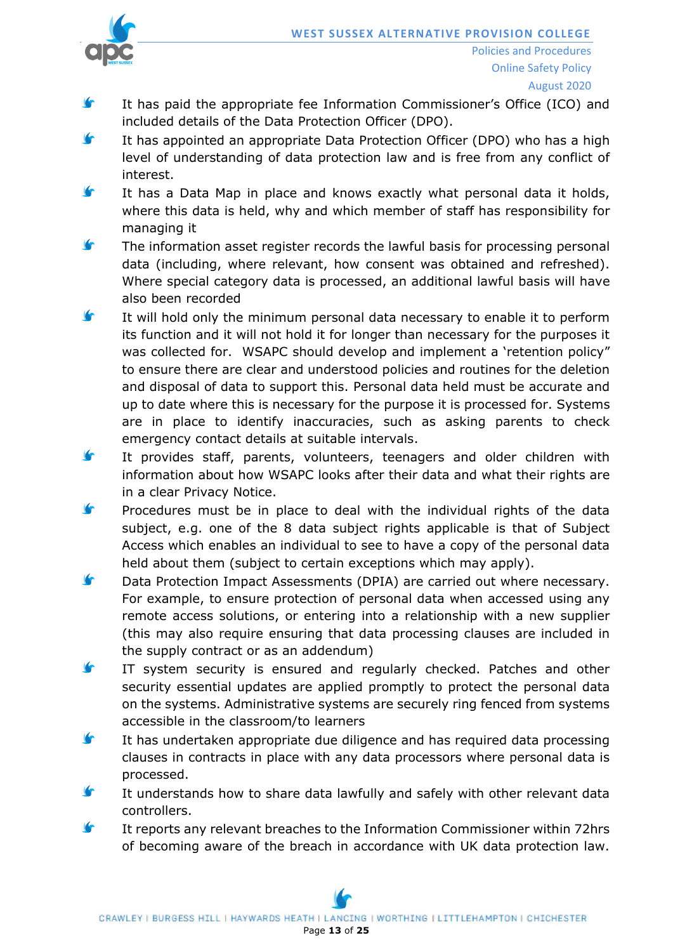

- It has paid the appropriate fee Information Commissioner's Office (ICO) and included details of the Data Protection Officer (DPO).
- It has appointed an appropriate Data Protection Officer (DPO) who has a high level of understanding of data protection law and is free from any conflict of interest.
- $\bullet$ It has a Data Map in place and knows exactly what personal data it holds, where this data is held, why and which member of staff has responsibility for managing it
- $\bullet$ The information asset register records the lawful basis for processing personal data (including, where relevant, how consent was obtained and refreshed). Where special category data is processed, an additional lawful basis will have also been recorded
- It will hold only the minimum personal data necessary to enable it to perform its function and it will not hold it for longer than necessary for the purposes it was collected for. WSAPC should develop and implement a 'retention policy" to ensure there are clear and understood policies and routines for the deletion and disposal of data to support this. Personal data held must be accurate and up to date where this is necessary for the purpose it is processed for. Systems are in place to identify inaccuracies, such as asking parents to check emergency contact details at suitable intervals.
- $\bullet$ It provides staff, parents, volunteers, teenagers and older children with information about how WSAPC looks after their data and what their rights are in a clear Privacy Notice.
- $\bullet$ Procedures must be in place to deal with the individual rights of the data subject, e.g. one of the 8 data subject rights applicable is that of Subject Access which enables an individual to see to have a copy of the personal data held about them (subject to certain exceptions which may apply).
- Data Protection Impact Assessments (DPIA) are carried out where necessary. For example, to ensure protection of personal data when accessed using any remote access solutions, or entering into a relationship with a new supplier (this may also require ensuring that data processing clauses are included in the supply contract or as an addendum)
- $\mathbf{G}$ IT system security is ensured and regularly checked. Patches and other security essential updates are applied promptly to protect the personal data on the systems. Administrative systems are securely ring fenced from systems accessible in the classroom/to learners
- $\blacktriangleright$ It has undertaken appropriate due diligence and has required data processing clauses in contracts in place with any data processors where personal data is processed.
- It understands how to share data lawfully and safely with other relevant data controllers.
- $\bullet$ It reports any relevant breaches to the Information Commissioner within 72hrs of becoming aware of the breach in accordance with UK data protection law.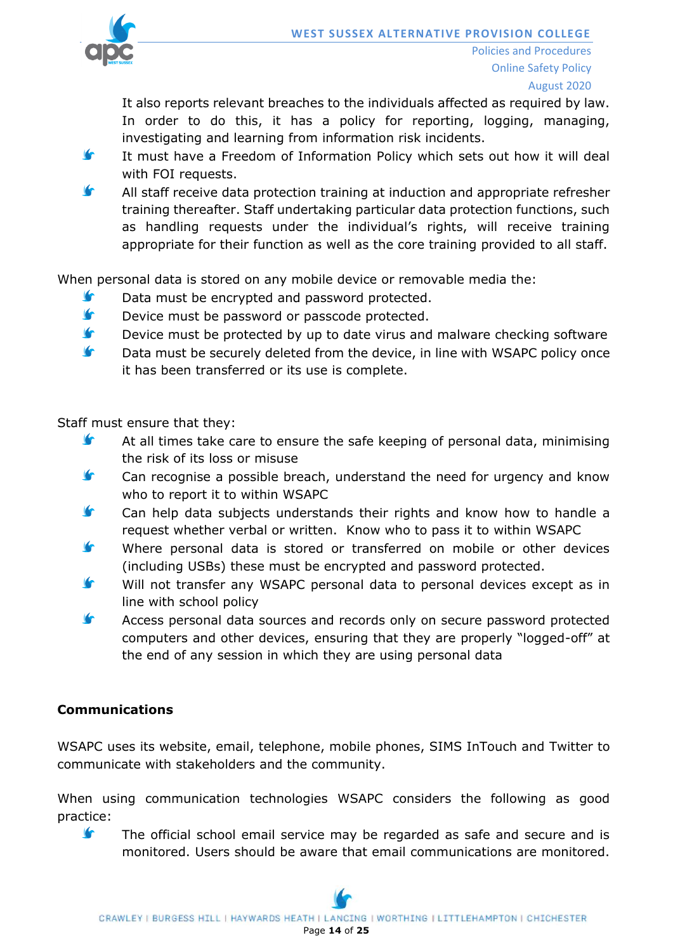

It also reports relevant breaches to the individuals affected as required by law. In order to do this, it has a policy for reporting, logging, managing, investigating and learning from information risk incidents.

- $\bullet$ It must have a Freedom of Information Policy which sets out how it will deal with FOI requests.
- All staff receive data protection training at induction and appropriate refresher training thereafter. Staff undertaking particular data protection functions, such as handling requests under the individual's rights, will receive training appropriate for their function as well as the core training provided to all staff.

When personal data is stored on any mobile device or removable media the:

- $\mathbf{G}$ Data must be encrypted and password protected.
- $\blacktriangleright$ Device must be password or passcode protected.
- $\bullet$ Device must be protected by up to date virus and malware checking software
- $\bullet$ Data must be securely deleted from the device, in line with WSAPC policy once it has been transferred or its use is complete.

Staff must ensure that they:

- $\bullet$ At all times take care to ensure the safe keeping of personal data, minimising the risk of its loss or misuse
- $\mathbf{G}$ Can recognise a possible breach, understand the need for urgency and know who to report it to within WSAPC
- $\bullet$ Can help data subjects understands their rights and know how to handle a request whether verbal or written. Know who to pass it to within WSAPC
- $\mathbf{G}$ Where personal data is stored or transferred on mobile or other devices (including USBs) these must be encrypted and password protected.
- $\bullet$ Will not transfer any WSAPC personal data to personal devices except as in line with school policy
- Access personal data sources and records only on secure password protected computers and other devices, ensuring that they are properly "logged-off" at the end of any session in which they are using personal data

## **Communications**

WSAPC uses its website, email, telephone, mobile phones, SIMS InTouch and Twitter to communicate with stakeholders and the community.

When using communication technologies WSAPC considers the following as good practice:

 $\bullet$ The official school email service may be regarded as safe and secure and is monitored. Users should be aware that email communications are monitored.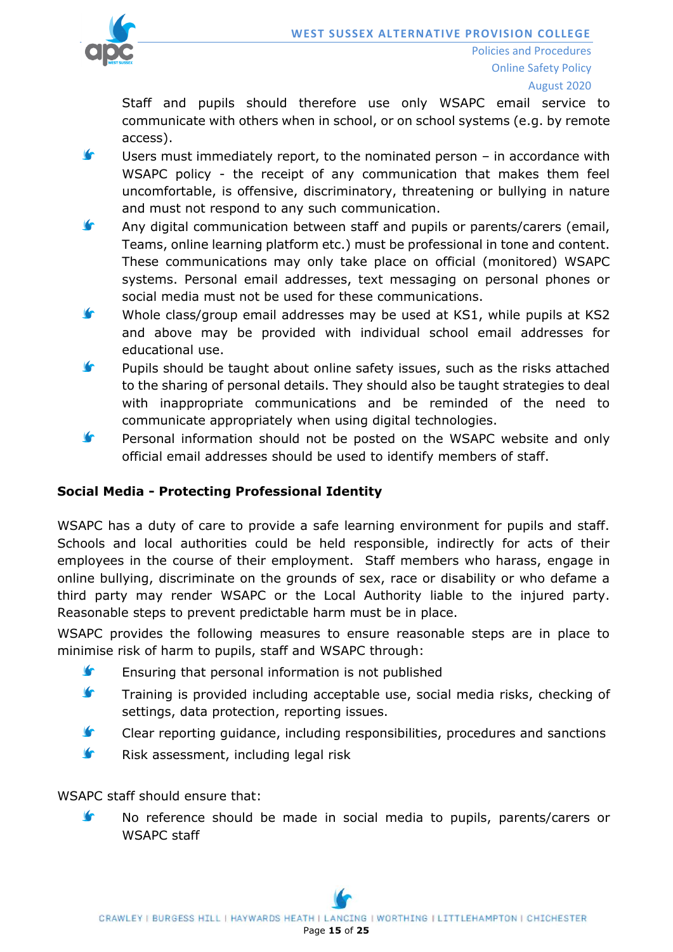

Staff and pupils should therefore use only WSAPC email service to communicate with others when in school, or on school systems (e.g. by remote access).

- Users must immediately report, to the nominated person in accordance with WSAPC policy - the receipt of any communication that makes them feel uncomfortable, is offensive, discriminatory, threatening or bullying in nature and must not respond to any such communication.
- Any digital communication between staff and pupils or parents/carers (email, Teams, online learning platform etc.) must be professional in tone and content. These communications may only take place on official (monitored) WSAPC systems. Personal email addresses, text messaging on personal phones or social media must not be used for these communications.
- Whole class/group email addresses may be used at KS1, while pupils at KS2 and above may be provided with individual school email addresses for educational use.
- Pupils should be taught about online safety issues, such as the risks attached to the sharing of personal details. They should also be taught strategies to deal with inappropriate communications and be reminded of the need to communicate appropriately when using digital technologies.
- Personal information should not be posted on the WSAPC website and only official email addresses should be used to identify members of staff.

# **Social Media - Protecting Professional Identity**

WSAPC has a duty of care to provide a safe learning environment for pupils and staff. Schools and local authorities could be held responsible, indirectly for acts of their employees in the course of their employment. Staff members who harass, engage in online bullying, discriminate on the grounds of sex, race or disability or who defame a third party may render WSAPC or the Local Authority liable to the injured party. Reasonable steps to prevent predictable harm must be in place.

WSAPC provides the following measures to ensure reasonable steps are in place to minimise risk of harm to pupils, staff and WSAPC through:

- $\blacktriangleright$ Ensuring that personal information is not published
- $\bullet$ Training is provided including acceptable use, social media risks, checking of settings, data protection, reporting issues.
- $\mathbf{G}$ Clear reporting guidance, including responsibilities, procedures and sanctions
- $\bullet$ Risk assessment, including legal risk

WSAPC staff should ensure that:

 $\bullet$ No reference should be made in social media to pupils, parents/carers or WSAPC staff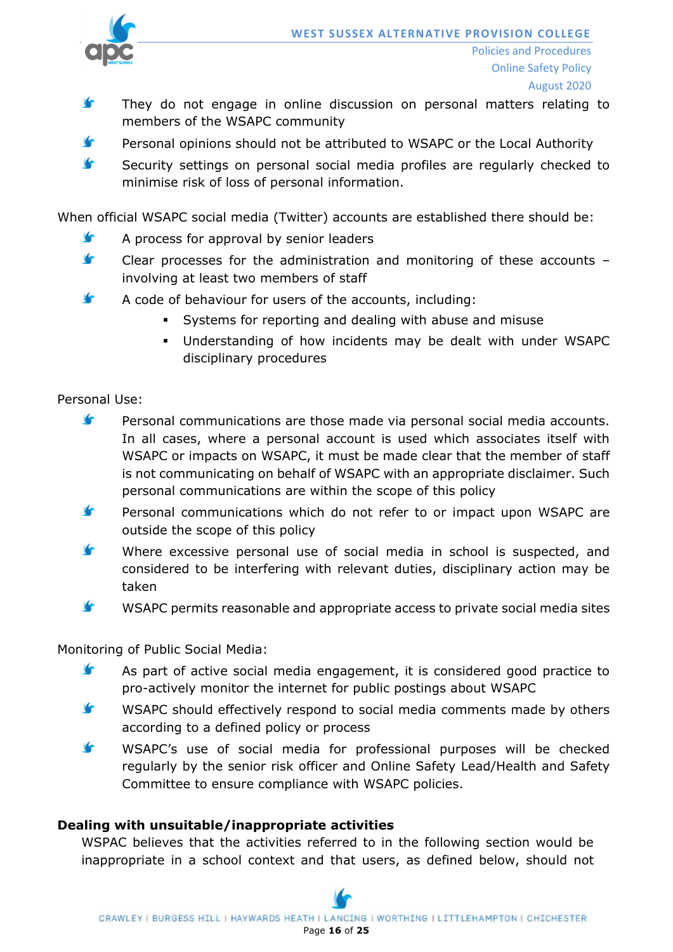

- They do not engage in online discussion on personal matters relating to members of the WSAPC community
- $\blacktriangleright$ Personal opinions should not be attributed to WSAPC or the Local Authority
- $\bullet$ Security settings on personal social media profiles are regularly checked to minimise risk of loss of personal information.

When official WSAPC social media (Twitter) accounts are established there should be:

- $\blacktriangleright$ A process for approval by senior leaders
- $\bullet$ Clear processes for the administration and monitoring of these accounts – involving at least two members of staff
- $\bullet$ A code of behaviour for users of the accounts, including:
	- Systems for reporting and dealing with abuse and misuse
	- Understanding of how incidents may be dealt with under WSAPC disciplinary procedures

## Personal Use:

- $\bullet$ Personal communications are those made via personal social media accounts. In all cases, where a personal account is used which associates itself with WSAPC or impacts on WSAPC, it must be made clear that the member of staff is not communicating on behalf of WSAPC with an appropriate disclaimer. Such personal communications are within the scope of this policy
- $\bullet$ Personal communications which do not refer to or impact upon WSAPC are outside the scope of this policy
- $\bullet$ Where excessive personal use of social media in school is suspected, and considered to be interfering with relevant duties, disciplinary action may be taken
- WSAPC permits reasonable and appropriate access to private social media sites

Monitoring of Public Social Media:

- $\bullet$ As part of active social media engagement, it is considered good practice to pro-actively monitor the internet for public postings about WSAPC
- $\blacktriangleright$ WSAPC should effectively respond to social media comments made by others according to a defined policy or process
- $\bullet$ WSAPC's use of social media for professional purposes will be checked regularly by the senior risk officer and Online Safety Lead/Health and Safety Committee to ensure compliance with WSAPC policies.

## **Dealing with unsuitable/inappropriate activities**

WSPAC believes that the activities referred to in the following section would be inappropriate in a school context and that users, as defined below, should not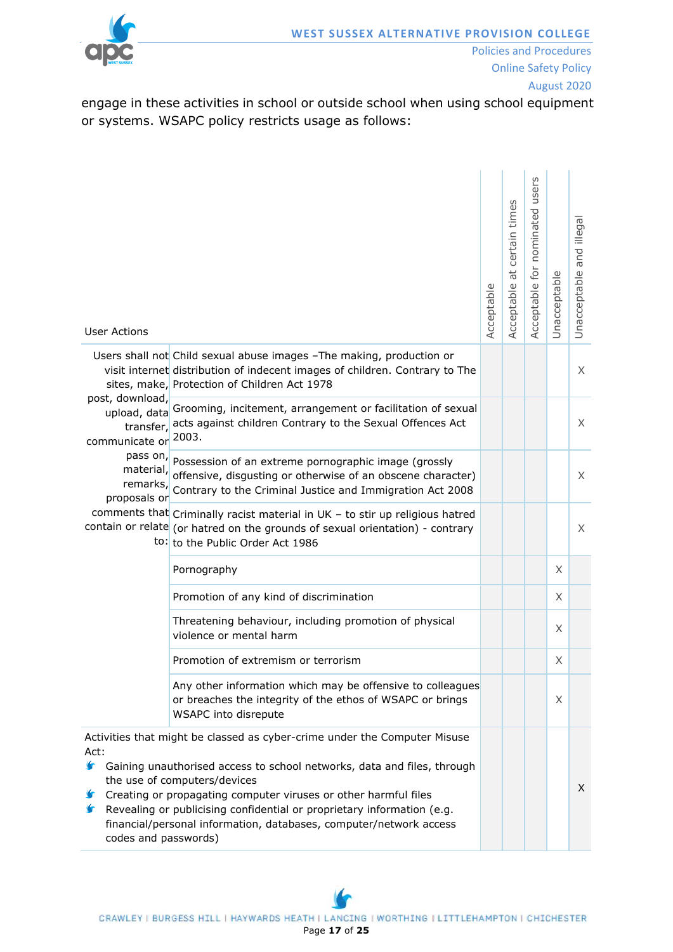

engage in these activities in school or outside school when using school equipment or systems. WSAPC policy restricts usage as follows:

| <b>User Actions</b>                                            |                                                                                                                                                                                                                                                                                                                                                                                                         | Acceptable | certain times<br>đ<br>Acceptable | users<br>Acceptable for nominated | Unacceptable | and illegal<br>Unacceptable |
|----------------------------------------------------------------|---------------------------------------------------------------------------------------------------------------------------------------------------------------------------------------------------------------------------------------------------------------------------------------------------------------------------------------------------------------------------------------------------------|------------|----------------------------------|-----------------------------------|--------------|-----------------------------|
|                                                                | Users shall not Child sexual abuse images - The making, production or<br>visit internet distribution of indecent images of children. Contrary to The<br>sites, make, Protection of Children Act 1978                                                                                                                                                                                                    |            |                                  |                                   |              | X                           |
| post, download,<br>upload, data<br>transfer,<br>communicate or | Grooming, incitement, arrangement or facilitation of sexual<br>acts against children Contrary to the Sexual Offences Act<br>2003.                                                                                                                                                                                                                                                                       |            |                                  |                                   |              | X                           |
| pass on,<br>material,<br>remarks,<br>proposals or              | Possession of an extreme pornographic image (grossly<br>offensive, disgusting or otherwise of an obscene character)<br>Contrary to the Criminal Justice and Immigration Act 2008                                                                                                                                                                                                                        |            |                                  |                                   |              | X                           |
|                                                                | comments that Criminally racist material in UK - to stir up religious hatred<br>contain or relate (or hatred on the grounds of sexual orientation) - contrary<br>to: to the Public Order Act 1986                                                                                                                                                                                                       |            |                                  |                                   |              | X                           |
|                                                                | Pornography                                                                                                                                                                                                                                                                                                                                                                                             |            |                                  |                                   | X            |                             |
|                                                                | Promotion of any kind of discrimination                                                                                                                                                                                                                                                                                                                                                                 |            |                                  |                                   | X            |                             |
|                                                                | Threatening behaviour, including promotion of physical<br>violence or mental harm                                                                                                                                                                                                                                                                                                                       |            |                                  |                                   | X            |                             |
|                                                                | Promotion of extremism or terrorism                                                                                                                                                                                                                                                                                                                                                                     |            |                                  |                                   | X            |                             |
|                                                                | Any other information which may be offensive to colleagues<br>or breaches the integrity of the ethos of WSAPC or brings<br>WSAPC into disrepute                                                                                                                                                                                                                                                         |            |                                  |                                   | X            |                             |
| Act:<br>codes and passwords)                                   | Activities that might be classed as cyber-crime under the Computer Misuse<br>Gaining unauthorised access to school networks, data and files, through<br>the use of computers/devices<br>Creating or propagating computer viruses or other harmful files<br>Revealing or publicising confidential or proprietary information (e.g.<br>financial/personal information, databases, computer/network access |            |                                  |                                   |              | X                           |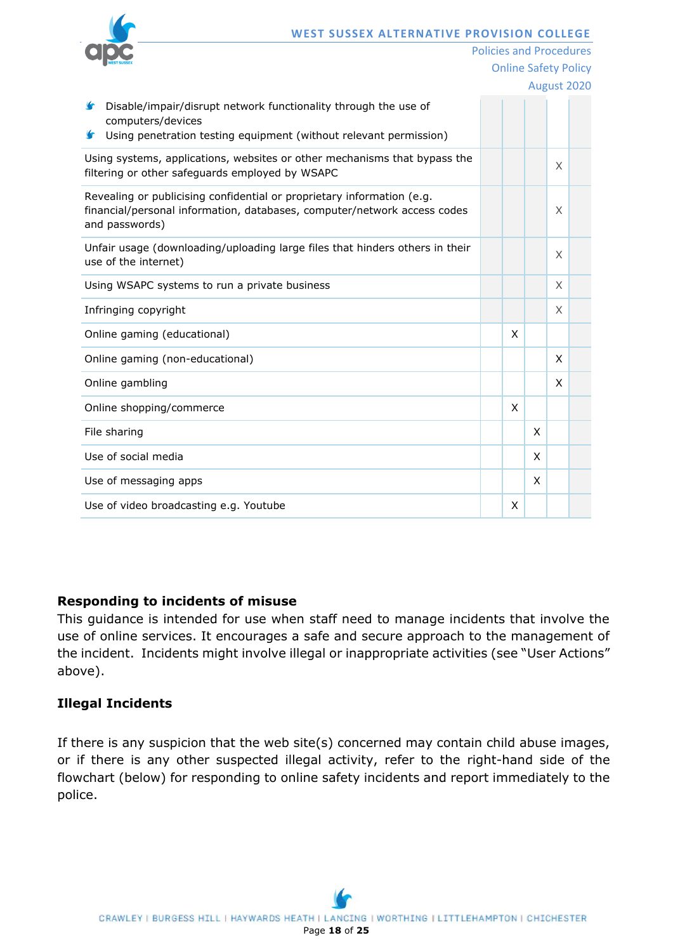

| August 2020 |  |  |
|-------------|--|--|

| Disable/impair/disrupt network functionality through the use of<br>computers/devices<br>Using penetration testing equipment (without relevant permission)<br><b>Sr</b> |   |          |   |  |
|------------------------------------------------------------------------------------------------------------------------------------------------------------------------|---|----------|---|--|
| Using systems, applications, websites or other mechanisms that bypass the<br>filtering or other safeguards employed by WSAPC                                           |   |          | X |  |
| Revealing or publicising confidential or proprietary information (e.g.<br>financial/personal information, databases, computer/network access codes<br>and passwords)   |   |          | X |  |
| Unfair usage (downloading/uploading large files that hinders others in their<br>use of the internet)                                                                   |   |          | X |  |
| Using WSAPC systems to run a private business                                                                                                                          |   |          | X |  |
| Infringing copyright                                                                                                                                                   |   |          | X |  |
| Online gaming (educational)                                                                                                                                            | X |          |   |  |
| Online gaming (non-educational)                                                                                                                                        |   |          | X |  |
| Online gambling                                                                                                                                                        |   |          | X |  |
| Online shopping/commerce                                                                                                                                               | X |          |   |  |
| File sharing                                                                                                                                                           |   | X        |   |  |
| Use of social media                                                                                                                                                    |   | X        |   |  |
| Use of messaging apps                                                                                                                                                  |   | $\times$ |   |  |
| Use of video broadcasting e.g. Youtube                                                                                                                                 | X |          |   |  |

## **Responding to incidents of misuse**

This guidance is intended for use when staff need to manage incidents that involve the use of online services. It encourages a safe and secure approach to the management of the incident. Incidents might involve illegal or inappropriate activities (see "User Actions" above).

## **Illegal Incidents**

If there is any suspicion that the web site(s) concerned may contain child abuse images, or if there is any other suspected illegal activity, refer to the right-hand side of the flowchart (below) for responding to online safety incidents and report immediately to the police.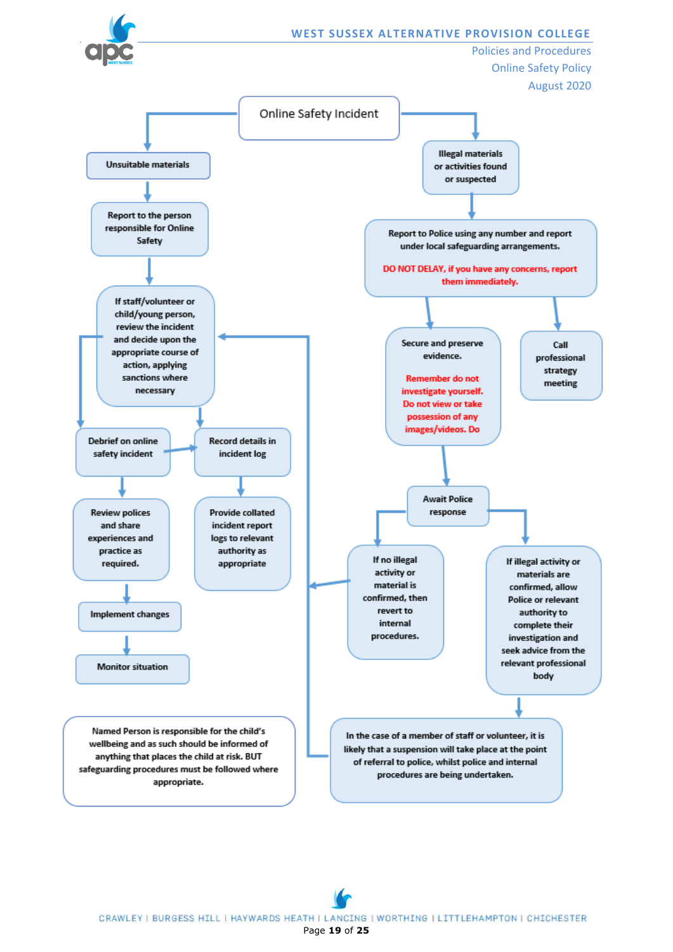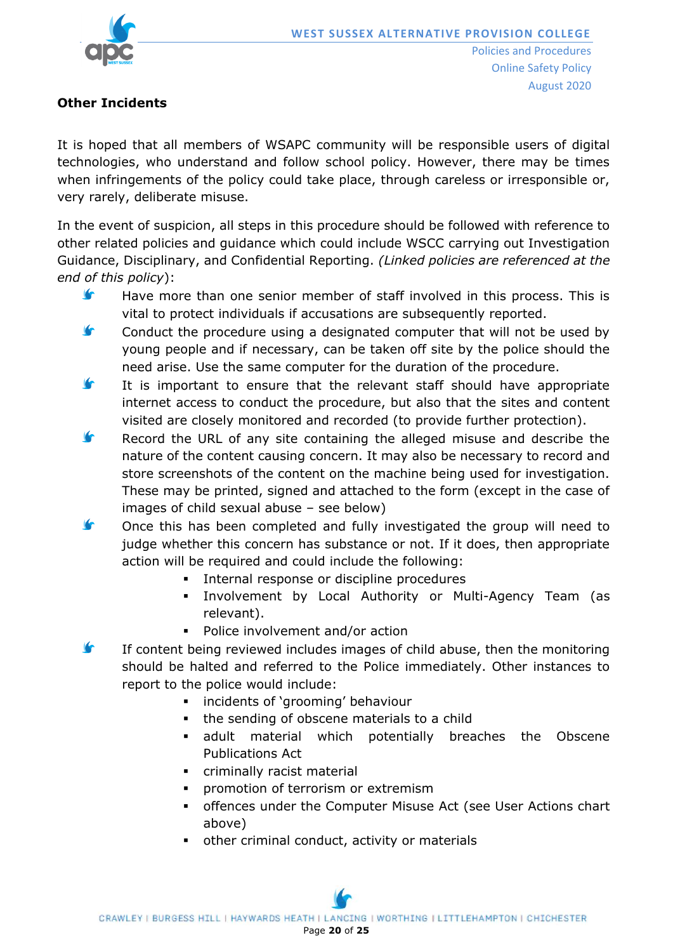

## **Other Incidents**

It is hoped that all members of WSAPC community will be responsible users of digital technologies, who understand and follow school policy. However, there may be times when infringements of the policy could take place, through careless or irresponsible or, very rarely, deliberate misuse.

In the event of suspicion, all steps in this procedure should be followed with reference to other related policies and guidance which could include WSCC carrying out Investigation Guidance, Disciplinary, and Confidential Reporting. *(Linked policies are referenced at the end of this policy*):

- $\bullet$ Have more than one senior member of staff involved in this process. This is vital to protect individuals if accusations are subsequently reported.
- $\bullet$ Conduct the procedure using a designated computer that will not be used by young people and if necessary, can be taken off site by the police should the need arise. Use the same computer for the duration of the procedure.
- $\bullet$ It is important to ensure that the relevant staff should have appropriate internet access to conduct the procedure, but also that the sites and content visited are closely monitored and recorded (to provide further protection).
- Record the URL of any site containing the alleged misuse and describe the nature of the content causing concern. It may also be necessary to record and store screenshots of the content on the machine being used for investigation. These may be printed, signed and attached to the form (except in the case of images of child sexual abuse – see below)
- Once this has been completed and fully investigated the group will need to judge whether this concern has substance or not. If it does, then appropriate action will be required and could include the following:
	- Internal response or discipline procedures
	- Involvement by Local Authority or Multi-Agency Team (as relevant).
	- Police involvement and/or action
- $\bullet$ If content being reviewed includes images of child abuse, then the monitoring should be halted and referred to the Police immediately. Other instances to report to the police would include:
	- incidents of 'grooming' behaviour
	- the sending of obscene materials to a child
	- adult material which potentially breaches the Obscene Publications Act
	- **•** criminally racist material
	- promotion of terrorism or extremism
	- offences under the Computer Misuse Act (see User Actions chart above)
	- other criminal conduct, activity or materials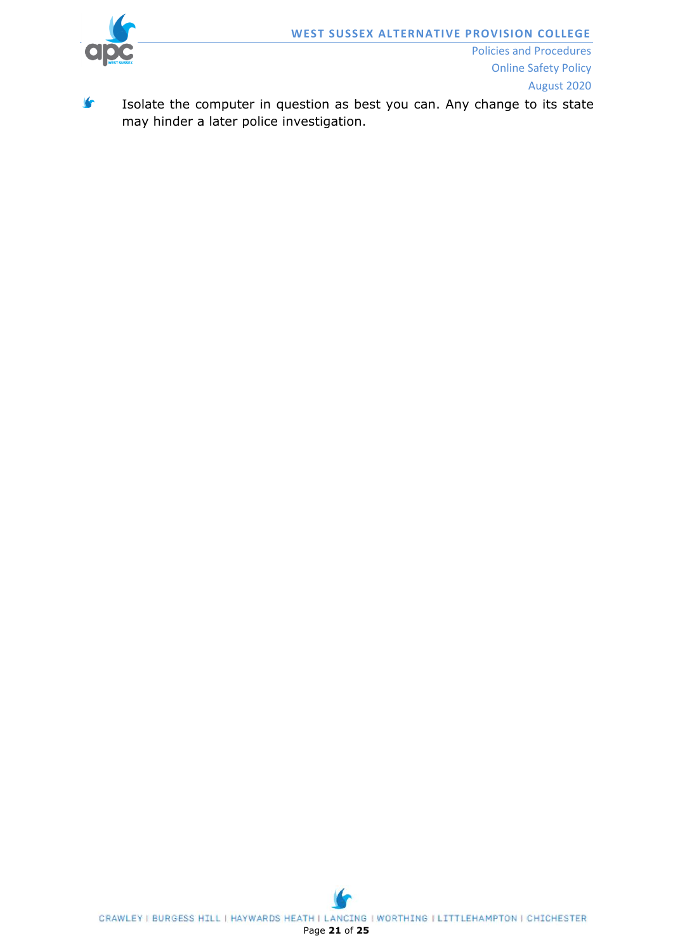

 $\bullet$ Isolate the computer in question as best you can. Any change to its state may hinder a later police investigation.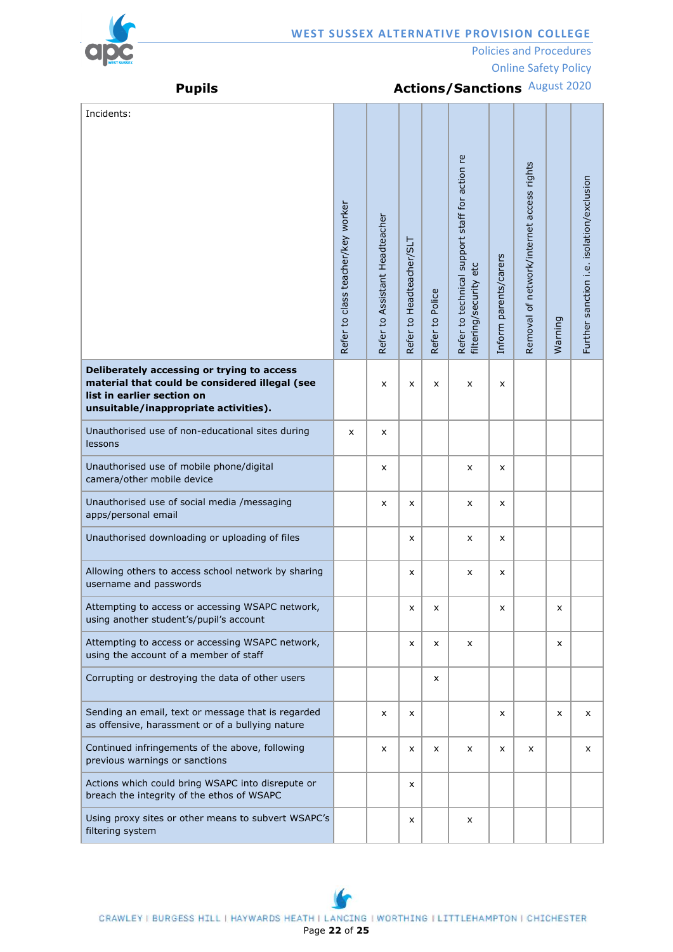

#### **Pupils Actions/Sanctions** August 2020

| Incidents:                                                                                                                                                          |                                   |                                |                          |                 |                                                                          |                       |                                           |         |                                           |
|---------------------------------------------------------------------------------------------------------------------------------------------------------------------|-----------------------------------|--------------------------------|--------------------------|-----------------|--------------------------------------------------------------------------|-----------------------|-------------------------------------------|---------|-------------------------------------------|
|                                                                                                                                                                     | Refer to class teacher/key worker | Refer to Assistant Headteacher | Refer to Headteacher/SLT | Refer to Police | Refer to technical support staff for action re<br>filtering/security etc | Inform parents/carers | Removal of network/internet access rights | Warning | Further sanction i.e. isolation/exclusion |
| Deliberately accessing or trying to access<br>material that could be considered illegal (see<br>list in earlier section on<br>unsuitable/inappropriate activities). |                                   | x                              | x                        | x               | x                                                                        | x                     |                                           |         |                                           |
| Unauthorised use of non-educational sites during<br>lessons                                                                                                         | $\times$                          | x                              |                          |                 |                                                                          |                       |                                           |         |                                           |
| Unauthorised use of mobile phone/digital<br>camera/other mobile device                                                                                              |                                   | x                              |                          |                 | x                                                                        | x                     |                                           |         |                                           |
| Unauthorised use of social media /messaging<br>apps/personal email                                                                                                  |                                   | x                              | x                        |                 | x                                                                        | x                     |                                           |         |                                           |
| Unauthorised downloading or uploading of files                                                                                                                      |                                   |                                | x                        |                 | x                                                                        | x                     |                                           |         |                                           |
| Allowing others to access school network by sharing<br>username and passwords                                                                                       |                                   |                                | x                        |                 | x                                                                        | x                     |                                           |         |                                           |
| Attempting to access or accessing WSAPC network,<br>using another student's/pupil's account                                                                         |                                   |                                | x                        | x               |                                                                          | x                     |                                           | x       |                                           |
| Attempting to access or accessing WSAPC network,<br>using the account of a member of staff                                                                          |                                   |                                | x                        | x               | x                                                                        |                       |                                           | x       |                                           |
| Corrupting or destroying the data of other users                                                                                                                    |                                   |                                |                          | x               |                                                                          |                       |                                           |         |                                           |
| Sending an email, text or message that is regarded<br>as offensive, harassment or of a bullying nature                                                              |                                   | x                              | x                        |                 |                                                                          | x                     |                                           | x       | x                                         |
| Continued infringements of the above, following<br>previous warnings or sanctions                                                                                   |                                   | x                              | x                        | x               | x                                                                        | x                     | x                                         |         | x                                         |
| Actions which could bring WSAPC into disrepute or<br>breach the integrity of the ethos of WSAPC                                                                     |                                   |                                | x                        |                 |                                                                          |                       |                                           |         |                                           |
| Using proxy sites or other means to subvert WSAPC's<br>filtering system                                                                                             |                                   |                                | x                        |                 | x                                                                        |                       |                                           |         |                                           |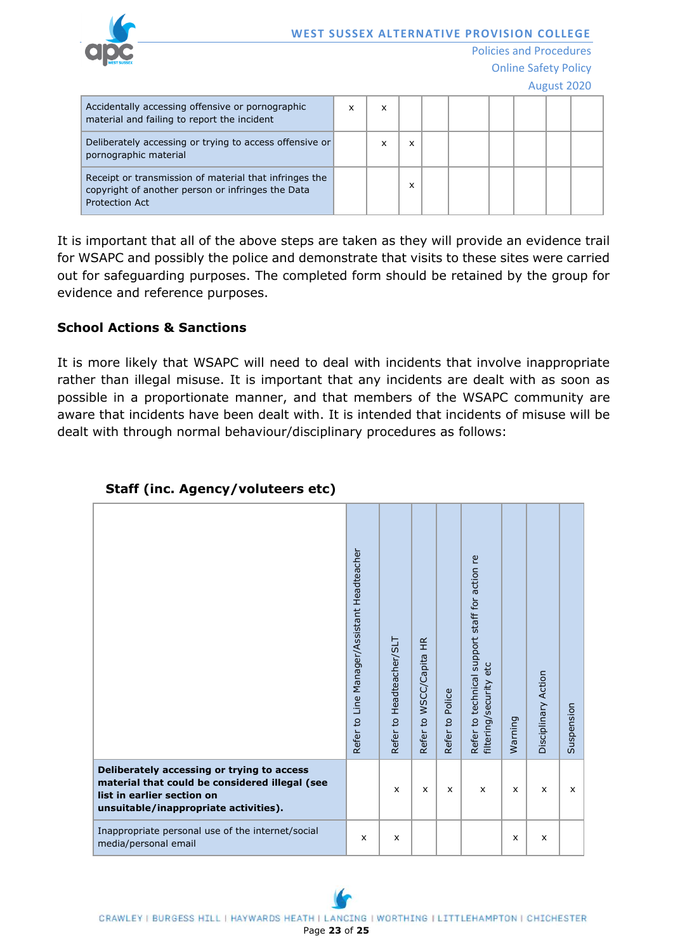

|  | August 2020 |  |
|--|-------------|--|

| Accidentally accessing offensive or pornographic<br>material and failing to report the incident                                      | x | x |  |  |  |  |
|--------------------------------------------------------------------------------------------------------------------------------------|---|---|--|--|--|--|
| Deliberately accessing or trying to access offensive or<br>pornographic material                                                     |   |   |  |  |  |  |
| Receipt or transmission of material that infringes the<br>copyright of another person or infringes the Data<br><b>Protection Act</b> |   |   |  |  |  |  |

It is important that all of the above steps are taken as they will provide an evidence trail for WSAPC and possibly the police and demonstrate that visits to these sites were carried out for safeguarding purposes. The completed form should be retained by the group for evidence and reference purposes.

## **School Actions & Sanctions**

It is more likely that WSAPC will need to deal with incidents that involve inappropriate rather than illegal misuse. It is important that any incidents are dealt with as soon as possible in a proportionate manner, and that members of the WSAPC community are aware that incidents have been dealt with. It is intended that incidents of misuse will be dealt with through normal behaviour/disciplinary procedures as follows:

|                                                                                                                                                                     | Refer to Line Manager/Assistant Headteacher | Refer to Headteacher/SLT | H <sub>K</sub><br>Refer to WSCC/Capita | Refer to Police | Refer to technical support staff for action re<br>etc<br>filtering/security | Warning | Disciplinary Action | Suspension   |
|---------------------------------------------------------------------------------------------------------------------------------------------------------------------|---------------------------------------------|--------------------------|----------------------------------------|-----------------|-----------------------------------------------------------------------------|---------|---------------------|--------------|
| Deliberately accessing or trying to access<br>material that could be considered illegal (see<br>list in earlier section on<br>unsuitable/inappropriate activities). |                                             | X                        | X                                      | $\times$        | $\mathsf{x}$                                                                | X       | $\mathsf{x}$        | $\mathsf{x}$ |
| Inappropriate personal use of the internet/social<br>media/personal email                                                                                           | $\mathsf{x}$                                | x                        |                                        |                 |                                                                             | X       | X                   |              |

## **Staff (inc. Agency/voluteers etc)**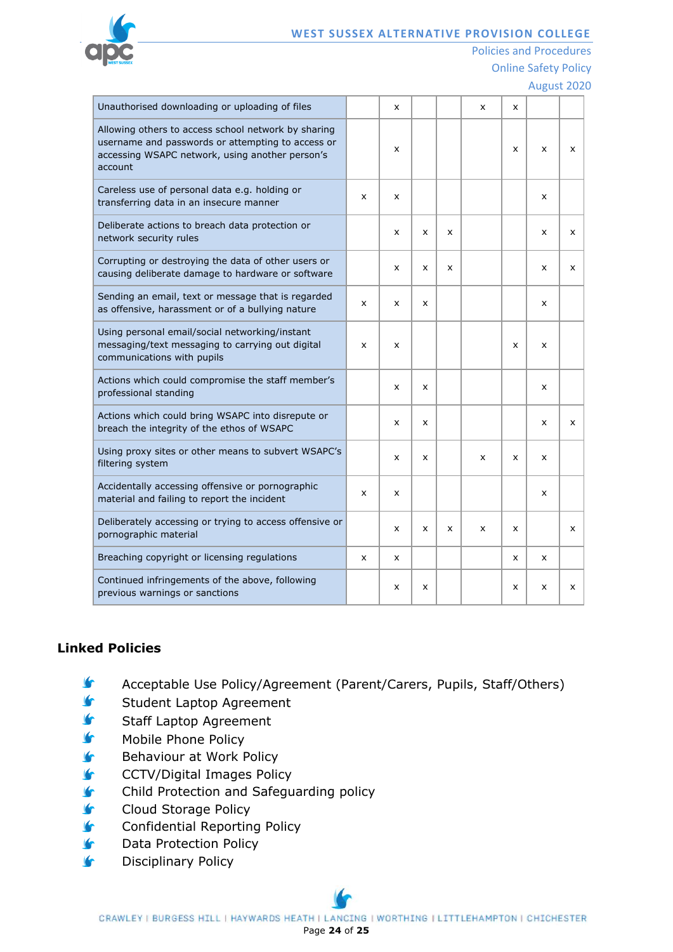

August 2020

| Unauthorised downloading or uploading of files                                                                                                                         |   | x |   |   | x | x |              |   |
|------------------------------------------------------------------------------------------------------------------------------------------------------------------------|---|---|---|---|---|---|--------------|---|
| Allowing others to access school network by sharing<br>username and passwords or attempting to access or<br>accessing WSAPC network, using another person's<br>account |   | X |   |   |   | x | X            | x |
| Careless use of personal data e.g. holding or<br>transferring data in an insecure manner                                                                               | X | X |   |   |   |   | X            |   |
| Deliberate actions to breach data protection or<br>network security rules                                                                                              |   | X | X | X |   |   | X            | x |
| Corrupting or destroying the data of other users or<br>causing deliberate damage to hardware or software                                                               |   | X | X | X |   |   | X            | x |
| Sending an email, text or message that is regarded<br>as offensive, harassment or of a bullying nature                                                                 | x | X | x |   |   |   | X            |   |
| Using personal email/social networking/instant<br>messaging/text messaging to carrying out digital<br>communications with pupils                                       | x | X |   |   |   | X | X            |   |
| Actions which could compromise the staff member's<br>professional standing                                                                                             |   | X | X |   |   |   | $\mathsf{x}$ |   |
| Actions which could bring WSAPC into disrepute or<br>breach the integrity of the ethos of WSAPC                                                                        |   | X | X |   |   |   | X            | X |
| Using proxy sites or other means to subvert WSAPC's<br>filtering system                                                                                                |   | x | X |   | X | x | X            |   |
| Accidentally accessing offensive or pornographic<br>material and failing to report the incident                                                                        | X | X |   |   |   |   | X            |   |
| Deliberately accessing or trying to access offensive or<br>pornographic material                                                                                       |   | x | x | X | x | x |              | X |
| Breaching copyright or licensing regulations                                                                                                                           | X | X |   |   |   | x | X            |   |
| Continued infringements of the above, following<br>previous warnings or sanctions                                                                                      |   | X | X |   |   | x | X            | x |

## **Linked Policies**

- $\blacktriangleright$ Acceptable Use Policy/Agreement (Parent/Carers, Pupils, Staff/Others)
- $\blacktriangleright$ Student Laptop Agreement
- $\blacktriangleright$ Staff Laptop Agreement
- $\bullet$ Mobile Phone Policy
- $\bullet$ Behaviour at Work Policy
- $\bullet$ CCTV/Digital Images Policy
- $\blacktriangleright$ Child Protection and Safeguarding policy
- $\blacktriangleright$ Cloud Storage Policy
- $\bullet$ Confidential Reporting Policy
- Data Protection Policy  $\bullet$
- $\bullet$ Disciplinary Policy